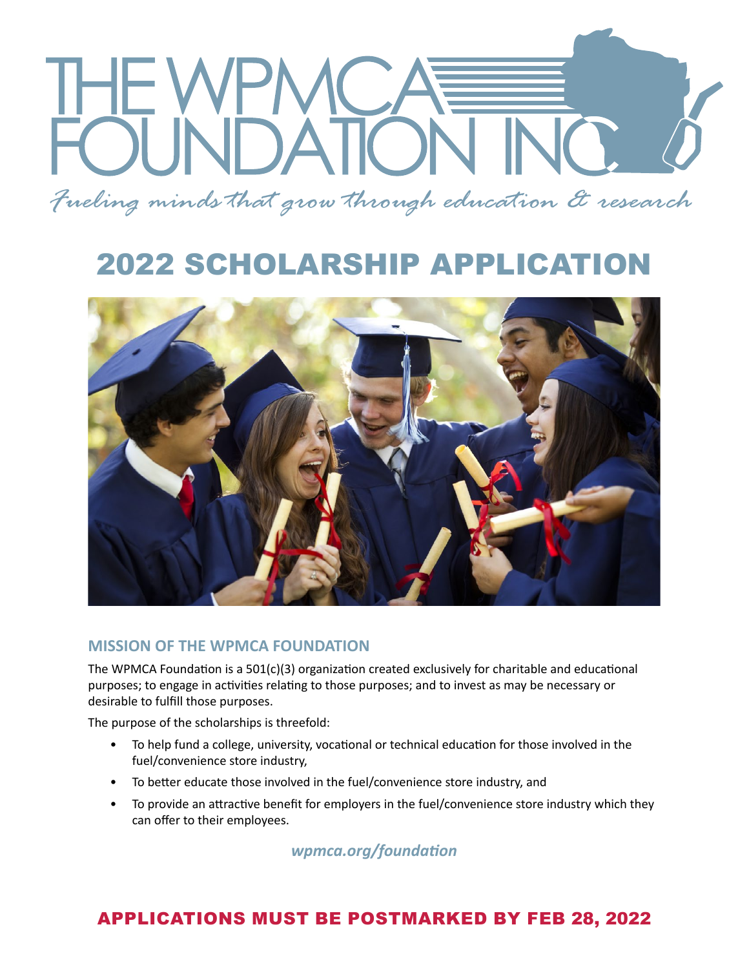*Fueling minds that grow through education & research*

# 2022 SCHOLARSHIP APPLICATION



#### **MISSION OF THE WPMCA FOUNDATION**

The WPMCA Foundation is a  $501(c)(3)$  organization created exclusively for charitable and educational purposes; to engage in activities relating to those purposes; and to invest as may be necessary or desirable to fulfill those purposes.

The purpose of the scholarships is threefold:

- To help fund a college, university, vocational or technical education for those involved in the fuel/convenience store industry,
- To better educate those involved in the fuel/convenience store industry, and
- To provide an attractive benefit for employers in the fuel/convenience store industry which they can offer to their employees.

*wpmca.org/foundation*

### APPLICATIONS MUST BE POSTMARKED BY FEB 28, 2022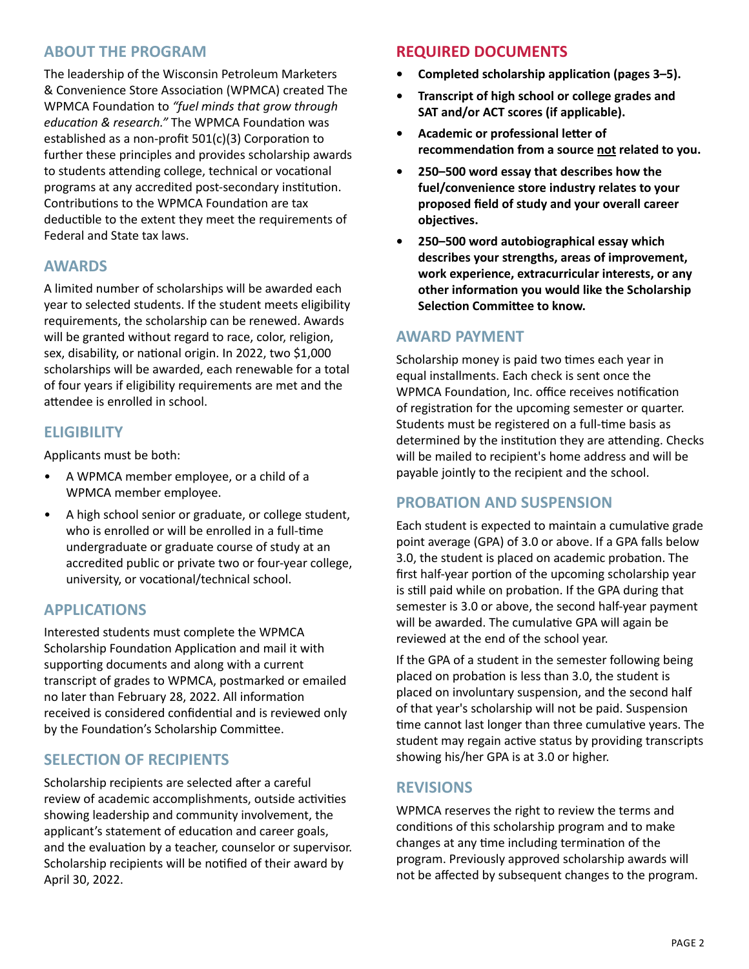#### **ABOUT THE PROGRAM**

The leadership of the Wisconsin Petroleum Marketers & Convenience Store Association (WPMCA) created The WPMCA Foundation to *"fuel minds that grow through education & research."* The WPMCA Foundation was established as a non-profit 501(c)(3) Corporation to further these principles and provides scholarship awards to students attending college, technical or vocational programs at any accredited post-secondary institution. Contributions to the WPMCA Foundation are tax deductible to the extent they meet the requirements of Federal and State tax laws.

#### **AWARDS**

A limited number of scholarships will be awarded each year to selected students. If the student meets eligibility requirements, the scholarship can be renewed. Awards will be granted without regard to race, color, religion, sex, disability, or national origin. In 2022, two \$1,000 scholarships will be awarded, each renewable for a total of four years if eligibility requirements are met and the attendee is enrolled in school.

#### **ELIGIBILITY**

Applicants must be both:

- A WPMCA member employee, or a child of a WPMCA member employee.
- A high school senior or graduate, or college student, who is enrolled or will be enrolled in a full-time undergraduate or graduate course of study at an accredited public or private two or four-year college, university, or vocational/technical school.

#### **APPLICATIONS**

Interested students must complete the WPMCA Scholarship Foundation Application and mail it with supporting documents and along with a current transcript of grades to WPMCA, postmarked or emailed no later than February 28, 2022. All information received is considered confidential and is reviewed only by the Foundation's Scholarship Committee.

#### **SELECTION OF RECIPIENTS**

Scholarship recipients are selected after a careful review of academic accomplishments, outside activities showing leadership and community involvement, the applicant's statement of education and career goals, and the evaluation by a teacher, counselor or supervisor. Scholarship recipients will be notified of their award by April 30, 2022.

#### **REQUIRED DOCUMENTS**

- **• Completed scholarship application (pages 3–5).**
- **• Transcript of high school or college grades and SAT and/or ACT scores (if applicable).**
- **• Academic or professional letter of recommendation from a source not related to you.**
- **• 250–500 word essay that describes how the fuel/convenience store industry relates to your proposed field of study and your overall career objectives.**
- **• 250–500 word autobiographical essay which describes your strengths, areas of improvement, work experience, extracurricular interests, or any other information you would like the Scholarship Selection Committee to know.**

#### **AWARD PAYMENT**

Scholarship money is paid two times each year in equal installments. Each check is sent once the WPMCA Foundation, Inc. office receives notification of registration for the upcoming semester or quarter. Students must be registered on a full-time basis as determined by the institution they are attending. Checks will be mailed to recipient's home address and will be payable jointly to the recipient and the school.

#### **PROBATION AND SUSPENSION**

Each student is expected to maintain a cumulative grade point average (GPA) of 3.0 or above. If a GPA falls below 3.0, the student is placed on academic probation. The first half-year portion of the upcoming scholarship year is still paid while on probation. If the GPA during that semester is 3.0 or above, the second half-year payment will be awarded. The cumulative GPA will again be reviewed at the end of the school year.

If the GPA of a student in the semester following being placed on probation is less than 3.0, the student is placed on involuntary suspension, and the second half of that year's scholarship will not be paid. Suspension time cannot last longer than three cumulative years. The student may regain active status by providing transcripts showing his/her GPA is at 3.0 or higher.

#### **REVISIONS**

WPMCA reserves the right to review the terms and conditions of this scholarship program and to make changes at any time including termination of the program. Previously approved scholarship awards will not be affected by subsequent changes to the program.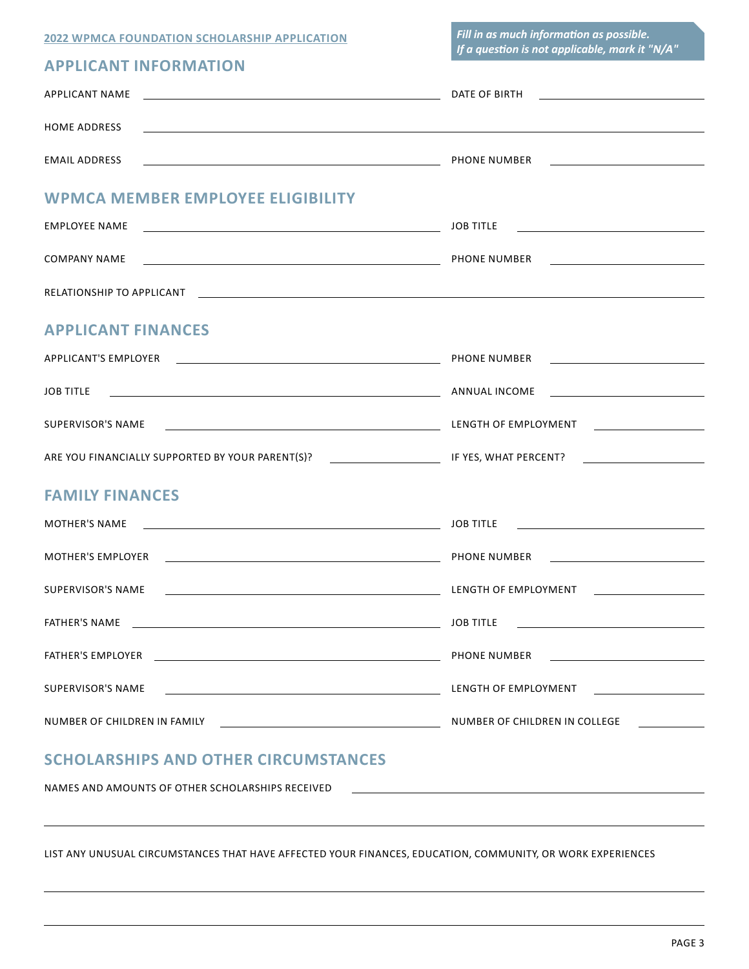| <b>2022 WPMCA FOUNDATION SCHOLARSHIP APPLICATION</b> |  |  |  |  |
|------------------------------------------------------|--|--|--|--|
|------------------------------------------------------|--|--|--|--|

*Fill in as much information as possible. If a question is not applicable, mark it "N/A"*

#### **APPLICANT INFORMATION**

| APPLICANT NAME                                                                                                                              |                                                                                                                                   |
|---------------------------------------------------------------------------------------------------------------------------------------------|-----------------------------------------------------------------------------------------------------------------------------------|
| <b>HOME ADDRESS</b><br>,我们也不能会有什么。""我们的人,我们也不能会有什么?""我们的人,我们也不能会有什么?""我们的人,我们也不能会有什么?""我们的人,我们也不能会有什么?""                                    |                                                                                                                                   |
|                                                                                                                                             |                                                                                                                                   |
| <b>WPMCA MEMBER EMPLOYEE ELIGIBILITY</b>                                                                                                    |                                                                                                                                   |
|                                                                                                                                             | JOB TITLE<br><u> Alexandria de la contrada de la contrada de la contrada de la contrada de la contrada de la contrada de la c</u> |
|                                                                                                                                             |                                                                                                                                   |
|                                                                                                                                             |                                                                                                                                   |
| <b>APPLICANT FINANCES</b>                                                                                                                   |                                                                                                                                   |
|                                                                                                                                             |                                                                                                                                   |
|                                                                                                                                             |                                                                                                                                   |
|                                                                                                                                             |                                                                                                                                   |
|                                                                                                                                             |                                                                                                                                   |
| <b>FAMILY FINANCES</b>                                                                                                                      |                                                                                                                                   |
| <u> 1989 - Johann Stein, mars an deutscher Stein und der Stein und der Stein und der Stein und der Stein und der</u><br>MOTHER'S NAME       | <u> 1980 - Jan Sterlinger, fransk politiker (d. 1980)</u><br><b>JOB TITLE</b>                                                     |
|                                                                                                                                             |                                                                                                                                   |
|                                                                                                                                             |                                                                                                                                   |
|                                                                                                                                             | <b>JOB TITLE</b>                                                                                                                  |
|                                                                                                                                             | PHONE NUMBER                                                                                                                      |
| SUPERVISOR'S NAME<br><u> 1989 - Johann Stoff, deutscher Stoffen und der Stoffen und der Stoffen und der Stoffen und der Stoffen und der</u> | LENGTH OF EMPLOYMENT [1999] THE RESERVE THE RESERVE THAT A RESERVE THE RESERVE THAT A RESERVE THAT A RESERVE T                    |
|                                                                                                                                             |                                                                                                                                   |
| <b>SCHOLARSHIPS AND OTHER CIRCUMSTANCES</b>                                                                                                 |                                                                                                                                   |

NAMES AND AMOUNTS OF OTHER SCHOLARSHIPS RECEIVED

LIST ANY UNUSUAL CIRCUMSTANCES THAT HAVE AFFECTED YOUR FINANCES, EDUCATION, COMMUNITY, OR WORK EXPERIENCES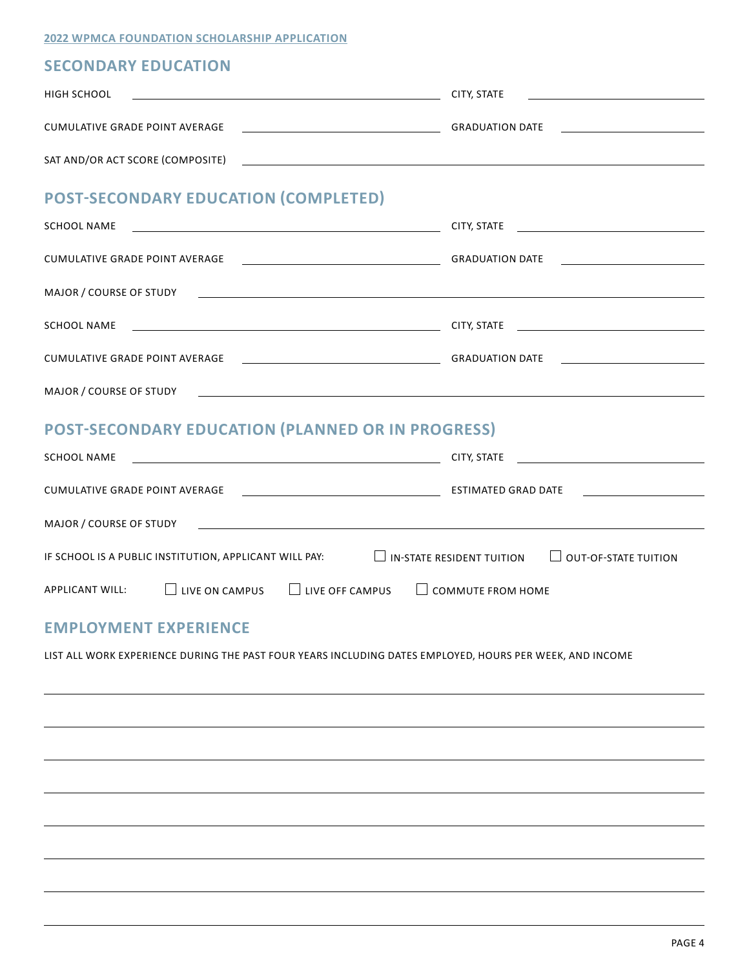**2022 WPMCA FOUNDATION SCHOLARSHIP APPLICATION**

#### **SECONDARY EDUCATION**

| HIGH SCHOOL                                                                                                         | the contract of the contract of the contract of the contract of the contract of |  |
|---------------------------------------------------------------------------------------------------------------------|---------------------------------------------------------------------------------|--|
| CUMULATIVE GRADE POINT AVERAGE                                                                                      |                                                                                 |  |
|                                                                                                                     |                                                                                 |  |
| <b>POST-SECONDARY EDUCATION (COMPLETED)</b>                                                                         |                                                                                 |  |
| <b>SCHOOL NAME</b>                                                                                                  |                                                                                 |  |
|                                                                                                                     |                                                                                 |  |
|                                                                                                                     |                                                                                 |  |
|                                                                                                                     |                                                                                 |  |
|                                                                                                                     |                                                                                 |  |
|                                                                                                                     |                                                                                 |  |
| <b>POST-SECONDARY EDUCATION (PLANNED OR IN PROGRESS)</b>                                                            |                                                                                 |  |
|                                                                                                                     |                                                                                 |  |
|                                                                                                                     |                                                                                 |  |
|                                                                                                                     |                                                                                 |  |
| IF SCHOOL IS A PUBLIC INSTITUTION, APPLICANT WILL PAY: $\Box$ IN-STATE RESIDENT TUITION $\Box$ OUT-OF-STATE TUITION |                                                                                 |  |
| $\Box$ LIVE ON CAMPUS $\Box$ LIVE OFF CAMPUS<br><b>APPLICANT WILL:</b>                                              | $\Box$ COMMUTE FROM HOME                                                        |  |
|                                                                                                                     |                                                                                 |  |
| <b>EMPLOYMENT EXPERIENCE</b>                                                                                        |                                                                                 |  |
| LIST ALL WORK EXPERIENCE DURING THE PAST FOUR YEARS INCLUDING DATES EMPLOYED, HOURS PER WEEK, AND INCOME            |                                                                                 |  |
|                                                                                                                     |                                                                                 |  |
|                                                                                                                     |                                                                                 |  |
|                                                                                                                     |                                                                                 |  |
|                                                                                                                     |                                                                                 |  |
|                                                                                                                     |                                                                                 |  |
|                                                                                                                     |                                                                                 |  |
|                                                                                                                     |                                                                                 |  |
|                                                                                                                     |                                                                                 |  |